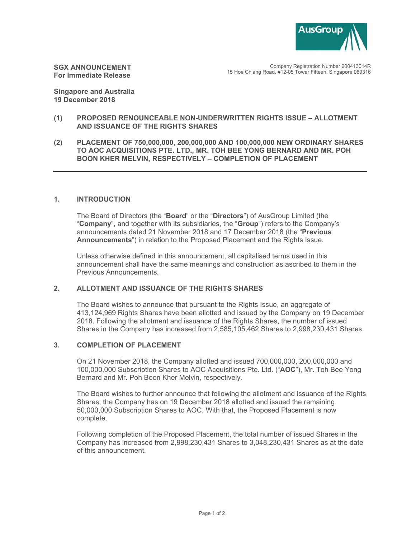

**SGX ANNOUNCEMENT For Immediate Release** 

Company Registration Number 200413014R 15 Hoe Chiang Road, #12-05 Tower Fifteen, Singapore 089316

**Singapore and Australia 19 December 2018** 

## **(1) PROPOSED RENOUNCEABLE NON-UNDERWRITTEN RIGHTS ISSUE – ALLOTMENT AND ISSUANCE OF THE RIGHTS SHARES**

**(2) PLACEMENT OF 750,000,000, 200,000,000 AND 100,000,000 NEW ORDINARY SHARES TO AOC ACQUISITIONS PTE. LTD., MR. TOH BEE YONG BERNARD AND MR. POH BOON KHER MELVIN, RESPECTIVELY – COMPLETION OF PLACEMENT** 

## **1. INTRODUCTION**

The Board of Directors (the "**Board**" or the "**Directors**") of AusGroup Limited (the "**Company**", and together with its subsidiaries, the "**Group**") refers to the Company's announcements dated 21 November 2018 and 17 December 2018 (the "**Previous Announcements**") in relation to the Proposed Placement and the Rights Issue.

Unless otherwise defined in this announcement, all capitalised terms used in this announcement shall have the same meanings and construction as ascribed to them in the Previous Announcements.

## **2. ALLOTMENT AND ISSUANCE OF THE RIGHTS SHARES**

The Board wishes to announce that pursuant to the Rights Issue, an aggregate of 413,124,969 Rights Shares have been allotted and issued by the Company on 19 December 2018. Following the allotment and issuance of the Rights Shares, the number of issued Shares in the Company has increased from 2,585,105,462 Shares to 2,998,230,431 Shares.

## **3. COMPLETION OF PLACEMENT**

On 21 November 2018, the Company allotted and issued 700,000,000, 200,000,000 and 100,000,000 Subscription Shares to AOC Acquisitions Pte. Ltd. ("**AOC**"), Mr. Toh Bee Yong Bernard and Mr. Poh Boon Kher Melvin, respectively.

The Board wishes to further announce that following the allotment and issuance of the Rights Shares, the Company has on 19 December 2018 allotted and issued the remaining 50,000,000 Subscription Shares to AOC. With that, the Proposed Placement is now complete.

Following completion of the Proposed Placement, the total number of issued Shares in the Company has increased from 2,998,230,431 Shares to 3,048,230,431 Shares as at the date of this announcement.